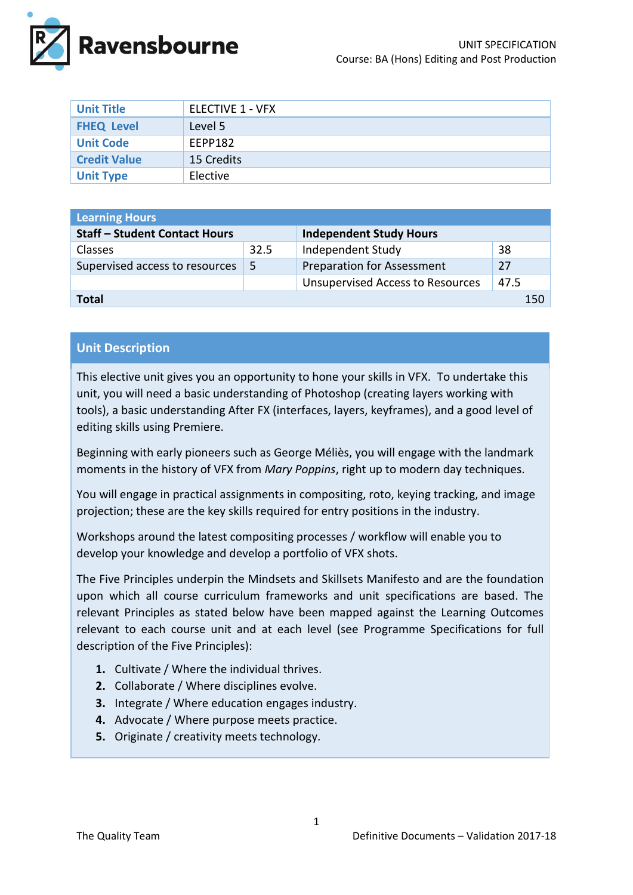

| <b>Unit Title</b>   | ELECTIVE 1 - VFX |
|---------------------|------------------|
| <b>FHEQ Level</b>   | Level 5          |
| <b>Unit Code</b>    | EEPP182          |
| <b>Credit Value</b> | 15 Credits       |
| <b>Unit Type</b>    | Elective         |

| <b>Learning Hours</b>                |      |                                         |      |  |
|--------------------------------------|------|-----------------------------------------|------|--|
| <b>Staff - Student Contact Hours</b> |      | <b>Independent Study Hours</b>          |      |  |
| <b>Classes</b>                       | 32.5 | Independent Study                       | 38   |  |
| Supervised access to resources       | -5   | <b>Preparation for Assessment</b>       | 27   |  |
|                                      |      | <b>Unsupervised Access to Resources</b> | 47.5 |  |
| Total                                |      |                                         | 150  |  |

# **Unit Description**

This elective unit gives you an opportunity to hone your skills in VFX. To undertake this unit, you will need a basic understanding of Photoshop (creating layers working with tools), a basic understanding After FX (interfaces, layers, keyframes), and a good level of editing skills using Premiere.

Beginning with early pioneers such as George Méliès, you will engage with the landmark moments in the history of VFX from *Mary Poppins*, right up to modern day techniques.

You will engage in practical assignments in compositing, roto, keying tracking, and image projection; these are the key skills required for entry positions in the industry.

Workshops around the latest compositing processes / workflow will enable you to develop your knowledge and develop a portfolio of VFX shots.

The Five Principles underpin the Mindsets and Skillsets Manifesto and are the foundation upon which all course curriculum frameworks and unit specifications are based. The relevant Principles as stated below have been mapped against the Learning Outcomes relevant to each course unit and at each level (see Programme Specifications for full description of the Five Principles):

- **1.** Cultivate / Where the individual thrives.
- **2.** Collaborate / Where disciplines evolve.
- **3.** Integrate / Where education engages industry.
- **4.** Advocate / Where purpose meets practice.
- **5.** Originate / creativity meets technology.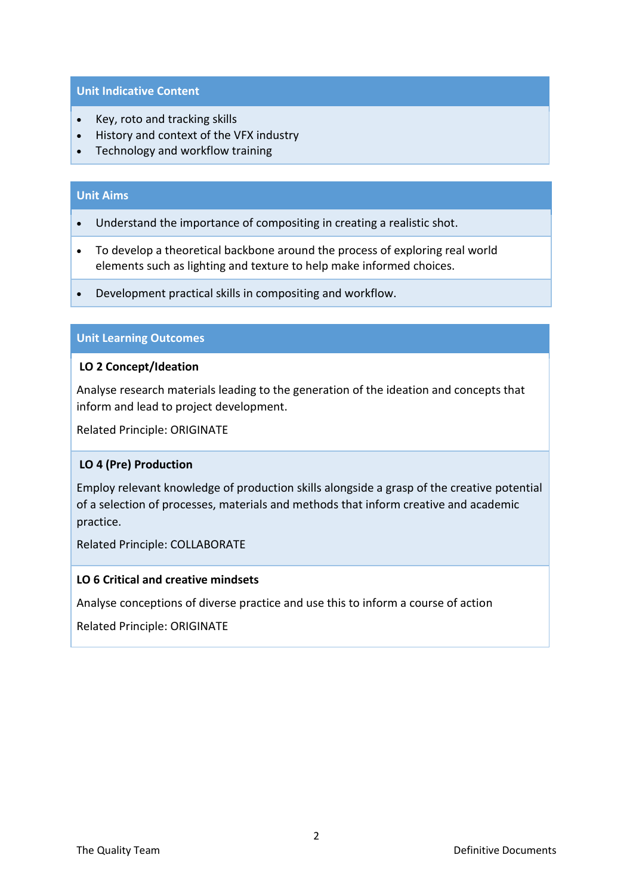#### **Unit Indicative Content**

- Key, roto and tracking skills
- History and context of the VFX industry
- Technology and workflow training

## **Unit Aims**

- Understand the importance of compositing in creating a realistic shot.
- To develop a theoretical backbone around the process of exploring real world elements such as lighting and texture to help make informed choices.
- Development practical skills in compositing and workflow.

## **Unit Learning Outcomes**

#### **LO 2 Concept/Ideation**

Analyse research materials leading to the generation of the ideation and concepts that inform and lead to project development.

Related Principle: ORIGINATE

## **LO 4 (Pre) Production**

Employ relevant knowledge of production skills alongside a grasp of the creative potential of a selection of processes, materials and methods that inform creative and academic practice.

Related Principle: COLLABORATE

#### **LO 6 Critical and creative mindsets**

Analyse conceptions of diverse practice and use this to inform a course of action

Related Principle: ORIGINATE